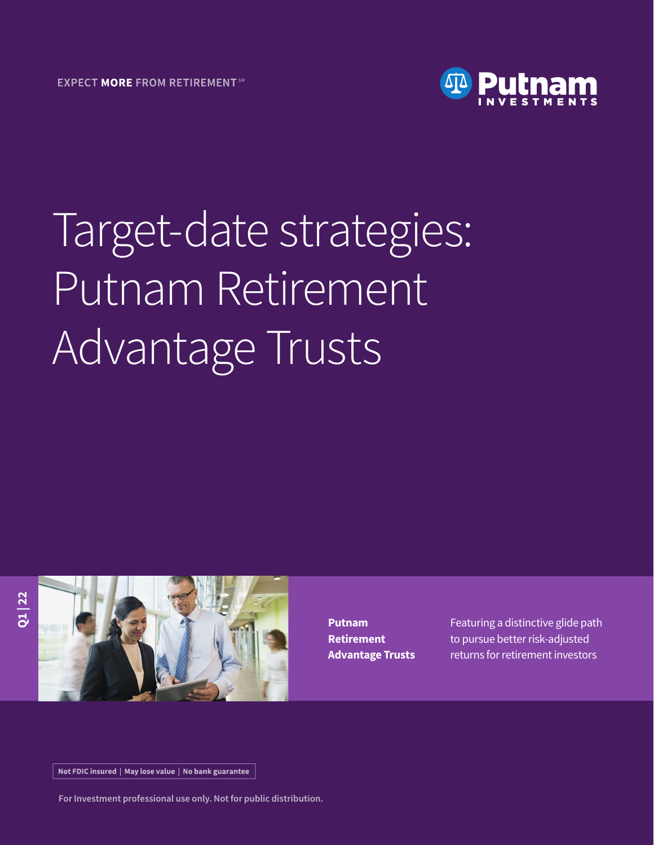

# Target-date strategies: Putnam Retirement Advantage Trusts



**Putnam Retirement Advantage Trusts** Featuring a distinctive glide path to pursue better risk-adjusted returns for retirement investors

Not FDIC insured | May lose value | No bank guarantee

**For Investment professional use only. Not for public distribution.**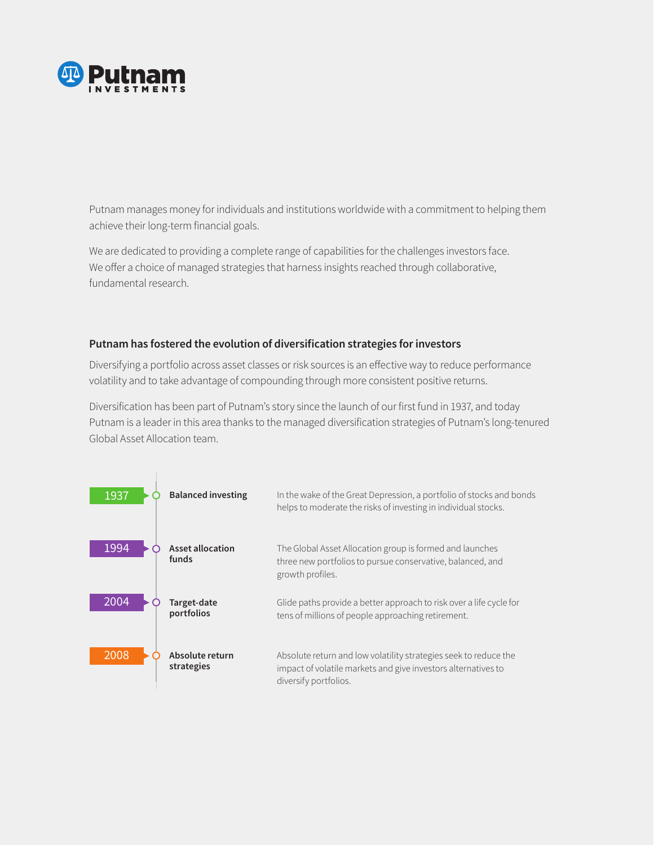

Putnam manages money for individuals and institutions worldwide with a commitment to helping them achieve their long-term financial goals.

We are dedicated to providing a complete range of capabilities for the challenges investors face. We offer a choice of managed strategies that harness insights reached through collaborative, fundamental research.

#### **Putnam has fostered the evolution of diversification strategies for investors**

Diversifying a portfolio across asset classes or risk sources is an effective way to reduce performance volatility and to take advantage of compounding through more consistent positive returns.

Diversification has been part of Putnam's story since the launch of our first fund in 1937, and today Putnam is a leader in this area thanks to the managed diversification strategies of Putnam's long-tenured Global Asset Allocation team.

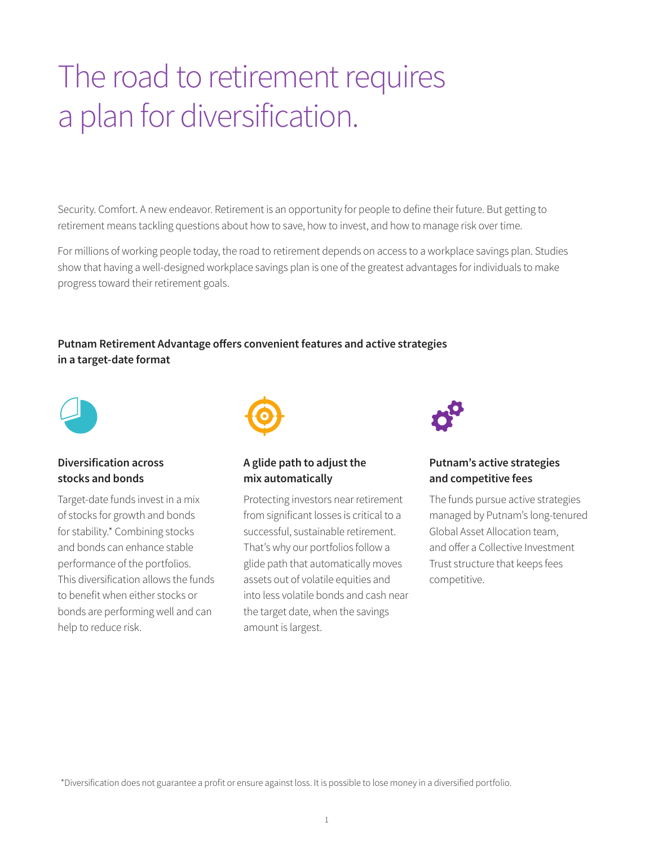### The road to retirement requires a plan for diversification.

Security. Comfort. A new endeavor. Retirement is an opportunity for people to define their future. But getting to retirement means tackling questions about how to save, how to invest, and how to manage risk over time.

For millions of working people today, the road to retirement depends on access to a workplace savings plan. Studies show that having a well-designed workplace savings plan is one of the greatest advantages for individuals to make progress toward their retirement goals.

**Putnam Retirement Advantage offers convenient features and active strategies in a target-date format**



#### **Diversification across stocks and bonds**

Target-date funds invest in a mix of stocks for growth and bonds for stability.\* Combining stocks and bonds can enhance stable performance of the portfolios. This diversification allows the funds to benefit when either stocks or bonds are performing well and can help to reduce risk.



#### **A glide path to adjust the mix automatically**

Protecting investors near retirement from significant losses is critical to a successful, sustainable retirement. That's why our portfolios follow a glide path that automatically moves assets out of volatile equities and into less volatile bonds and cash near the target date, when the savings amount is largest.



#### **Putnam's active strategies and competitive fees**

The funds pursue active strategies managed by Putnam's long-tenured Global Asset Allocation team, and offer a Collective Investment Trust structure that keeps fees competitive.

\*Diversification does not guarantee a profit or ensure against loss. It is possible to lose money in a diversified portfolio.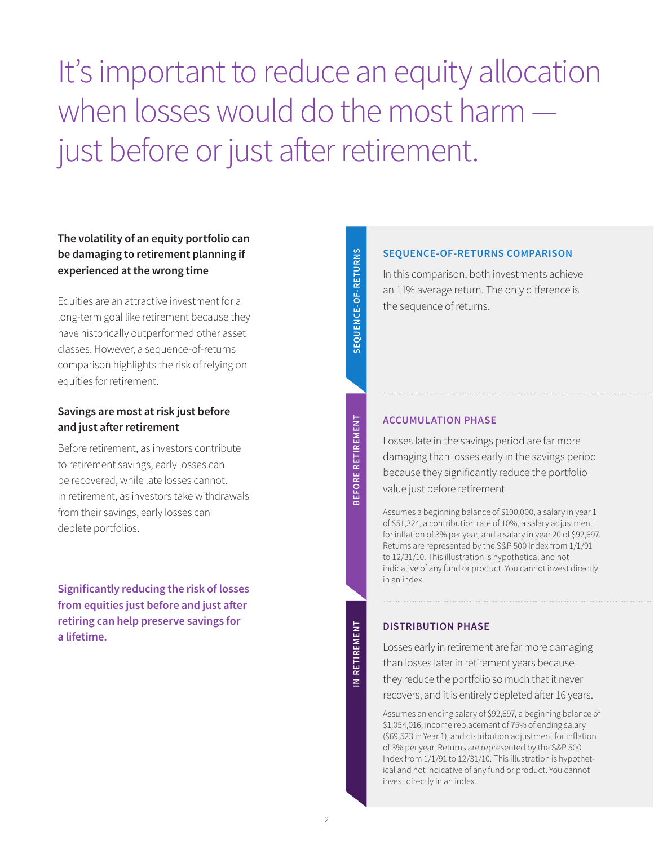It's important to reduce an equity allocation when losses would do the most harm just before or just after retirement.

#### **The volatility of an equity portfolio can be damaging to retirement planning if experienced at the wrong time**

Equities are an attractive investment for a long-term goal like retirement because they have historically outperformed other asset classes. However, a sequence-of-returns comparison highlights the risk of relying on equities for retirement.

#### **Savings are most at risk just before and just after retirement**

Before retirement, as investors contribute to retirement savings, early losses can be recovered, while late losses cannot. In retirement, as investors take withdrawals from their savings, early losses can deplete portfolios.

**Significantly reducing the risk of losses from equities just before and just after retiring can help preserve savings for a lifetime.**

SEQUENCE-OF-RETURNS **SEQUENCE-OF-RETURNS**

**BEFORE RETIREMENT**

**BEFORE RETIREMENT** 

#### **ACCUMULATION PHASE**

Losses late in the savings period are far more damaging than losses early in the savings period because they significantly reduce the portfolio value just before retirement.

Assumes a beginning balance of \$100,000, a salary in year 1 of \$51,324, a contribution rate of 10%, a salary adjustment for inflation of 3% per year, and a salary in year 20 of \$92,697. Returns are represented by the S&P 500 Index from 1/1/91 to 12/31/10. This illustration is hypothetical and not indicative of any fund or product. You cannot invest directly in an index.

#### **DISTRIBUTION PHASE**

Losses early in retirement are far more damaging than losses later in retirement years because they reduce the portfolio so much that it never recovers, and it is entirely depleted after 16 years.

Assumes an ending salary of \$92,697, a beginning balance of \$1,054,016, income replacement of 75% of ending salary (\$69,523 in Year 1), and distribution adjustment for inflation of 3% per year. Returns are represented by the S&P 500 Index from 1/1/91 to 12/31/10. This illustration is hypothetical and not indicative of any fund or product. You cannot invest directly in an index.

#### **SEQUENCE-OF-RETURNS COMPARISON**

In this comparison, both investments achieve an 11% average return. The only difference is the sequence of returns.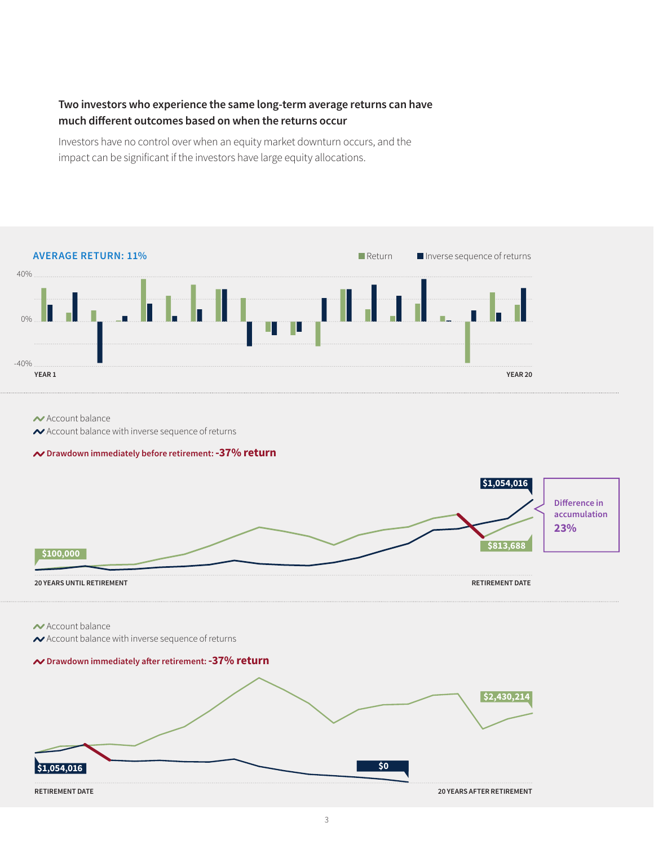#### **Two investors who experience the same long-term average returns can have much different outcomes based on when the returns occur**

Investors have no control over when an equity market downturn occurs, and the impact can be significant if the investors have large equity allocations.



#### $\sim$  Account balance

Account balance with inverse sequence of returns

#### **Drawdown immediately before retirement: -37% return**



 $\sim$  Account balance

Account balance with inverse sequence of returns

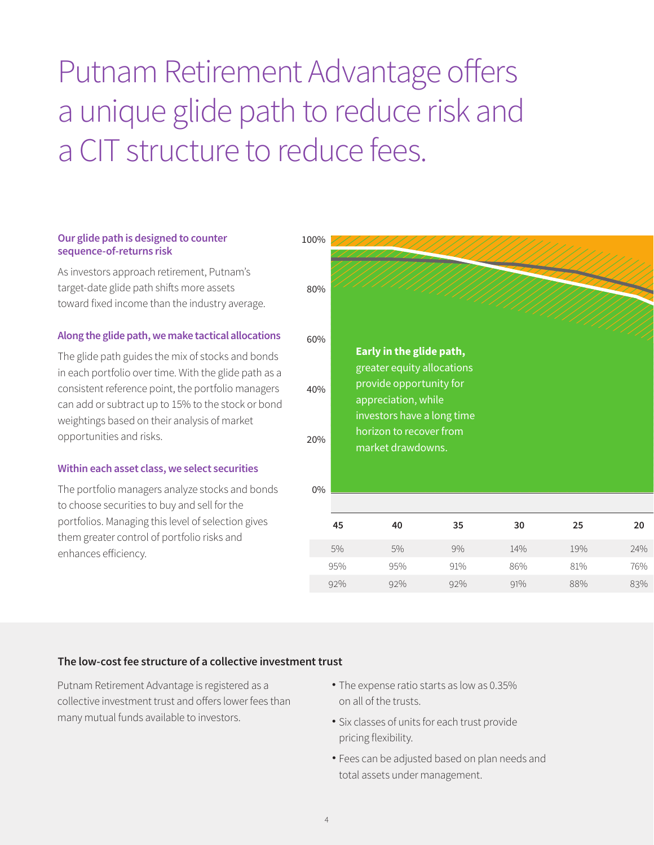Putnam Retirement Advantage offers a unique glide path to reduce risk and a CIT structure to reduce fees.

#### **Our glide path is designed to counter sequence-of-returns risk**

As investors approach retirement, Putnam's target-date glide path shifts more assets toward fixed income than the industry average.

#### **Along the glide path, we make tactical allocations**

The glide path guides the mix of stocks and bonds in each portfolio over time. With the glide path as a consistent reference point, the portfolio managers can add or subtract up to 15% to the stock or bond weightings based on their analysis of market opportunities and risks.

#### **Within each asset class, we select securities**

The portfolio managers analyze stocks and bonds to choose securities to buy and sell for the portfolios. Managing this level of selection gives them greater control of portfolio risks and enhances efficiency.

| 100%  |     |                                                                              |     |     |     |     |
|-------|-----|------------------------------------------------------------------------------|-----|-----|-----|-----|
| 80%   |     |                                                                              |     |     |     |     |
| 60%   |     | Early in the glide path,                                                     |     |     |     |     |
| 40%   |     | greater equity allocations<br>provide opportunity for<br>appreciation, while |     |     |     |     |
| 20%   |     | investors have a long time<br>horizon to recover from<br>market drawdowns.   |     |     |     |     |
| $0\%$ |     |                                                                              |     |     |     |     |
|       | 45  | 40                                                                           | 35  | 30  | 25  | 20  |
|       | 5%  | 5%                                                                           | 9%  | 14% | 19% | 24% |
|       | 95% | 95%                                                                          | 91% | 86% | 81% | 76% |
|       | 92% | 92%                                                                          | 92% | 91% | 88% | 83% |
|       |     |                                                                              |     |     |     |     |

#### **The low-cost fee structure of a collective investment trust**

Putnam Retirement Advantage is registered as a collective investment trust and offers lower fees than many mutual funds available to investors.

- The expense ratio starts as low as 0.35% on all of the trusts.
- Six classes of units for each trust provide pricing flexibility.
- Fees can be adjusted based on plan needs and total assets under management.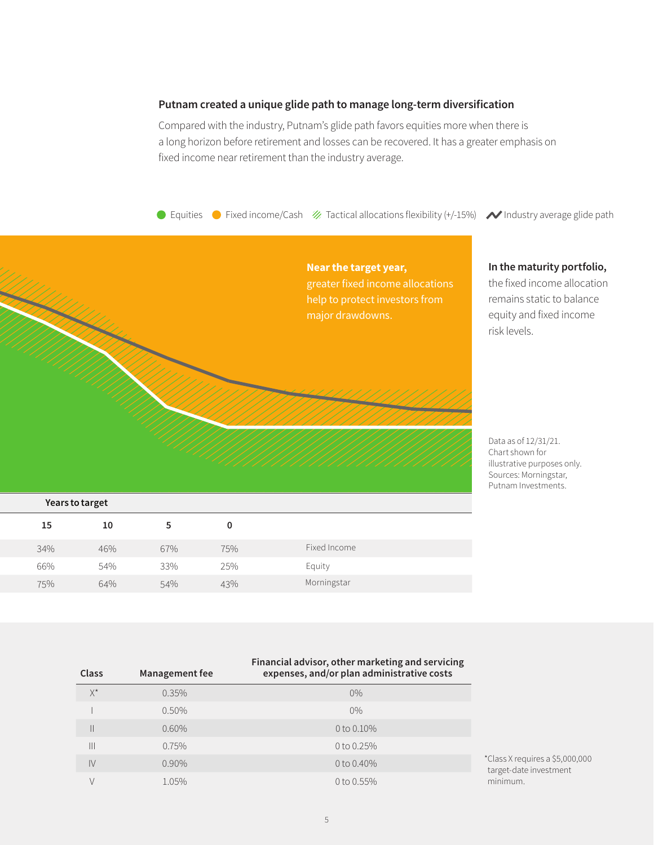#### **Putnam created a unique glide path to manage long-term diversification**

Compared with the industry, Putnam's glide path favors equities more when there is a long horizon before retirement and losses can be recovered. It has a greater emphasis on fixed income near retirement than the industry average.

● Equities ● Fixed income/Cash ※ Tactical allocations flexibility (+/-15%) ◆ Industry average glide path



illustrative purposes only. Sources: Morningstar, Putnam Investments.

| Years to target |
|-----------------|
|                 |

| 15  | 10  |     | 0   |              |  |
|-----|-----|-----|-----|--------------|--|
| 34% | 46% | 67% | 75% | Fixed Income |  |
| 66% | 54% | 33% | 25% | Equity       |  |
| 75% | 64% | 54% | 43% | Morningstar  |  |

| Class         | Management fee | Financial advisor, other marketing and servicing<br>expenses, and/or plan administrative costs |                          |  |
|---------------|----------------|------------------------------------------------------------------------------------------------|--------------------------|--|
| $X^*$         | 0.35%          | $0\%$                                                                                          |                          |  |
|               | $0.50\%$       | $0\%$                                                                                          |                          |  |
| Ш             | 0.60%          | 0 to 0.10%                                                                                     |                          |  |
| Ш             | 0.75%          | 0 to $0.25%$                                                                                   |                          |  |
| $\mathsf{IV}$ | 0.90%          | 0 to 0.40%                                                                                     | *Class X re<br>target-da |  |
|               | 1.05%          | 0 to $0.55\%$                                                                                  | minimur                  |  |

equires a \$5,000,000 ate investment minimum.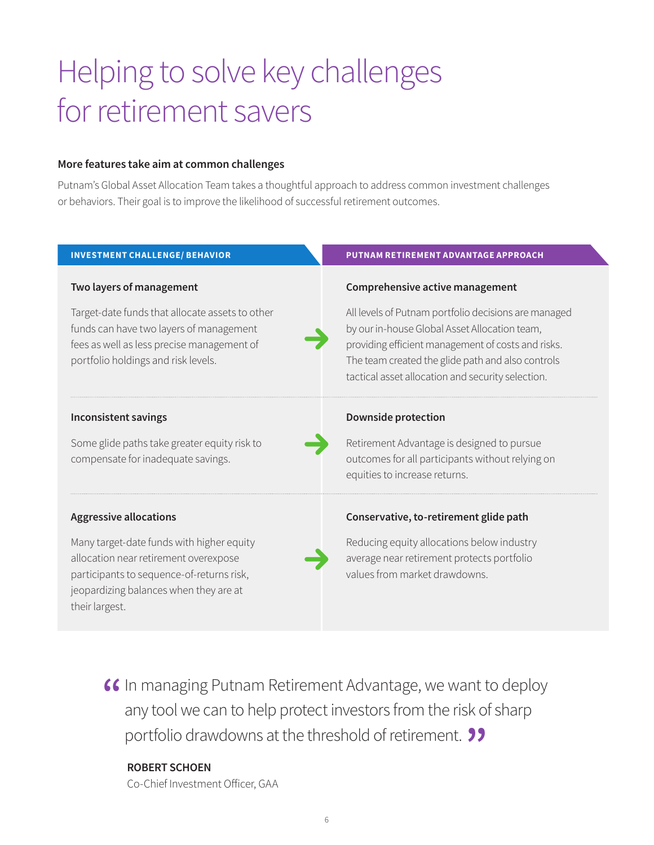## Helping to solve key challenges for retirement savers

#### **More features take aim at common challenges**

Putnam's Global Asset Allocation Team takes a thoughtful approach to address common investment challenges or behaviors. Their goal is to improve the likelihood of successful retirement outcomes.

| <b>INVESTMENT CHALLENGE/ BEHAVIOR</b>                                                                                                                                                       | PUTNAM RETIREMENT ADVANTAGE APPROACH                                                                                                                                                                                                                                  |
|---------------------------------------------------------------------------------------------------------------------------------------------------------------------------------------------|-----------------------------------------------------------------------------------------------------------------------------------------------------------------------------------------------------------------------------------------------------------------------|
| Two layers of management                                                                                                                                                                    | Comprehensive active management                                                                                                                                                                                                                                       |
| Target-date funds that allocate assets to other<br>funds can have two layers of management<br>fees as well as less precise management of<br>portfolio holdings and risk levels.             | All levels of Putnam portfolio decisions are managed<br>by our in-house Global Asset Allocation team,<br>providing efficient management of costs and risks.<br>The team created the glide path and also controls<br>tactical asset allocation and security selection. |
| <b>Inconsistent savings</b>                                                                                                                                                                 | <b>Downside protection</b>                                                                                                                                                                                                                                            |
| Some glide paths take greater equity risk to<br>compensate for inadequate savings.                                                                                                          | Retirement Advantage is designed to pursue<br>outcomes for all participants without relying on<br>equities to increase returns.                                                                                                                                       |
| <b>Aggressive allocations</b>                                                                                                                                                               | Conservative, to-retirement glide path                                                                                                                                                                                                                                |
| Many target-date funds with higher equity<br>allocation near retirement overexpose<br>participants to sequence-of-returns risk,<br>jeopardizing balances when they are at<br>their largest. | Reducing equity allocations below industry<br>average near retirement protects portfolio<br>values from market drawdowns.                                                                                                                                             |

**16** In managing Putnam Retirement Advantage, we want to deploy any tool we can to help protect investors from the risk of sharp any tool we can to help protect investors from the risk of sharp portfolio drawdowns at the threshold of retirement. **"** 

#### **ROBERT SCHOEN**

Co-Chief Investment Officer, GAA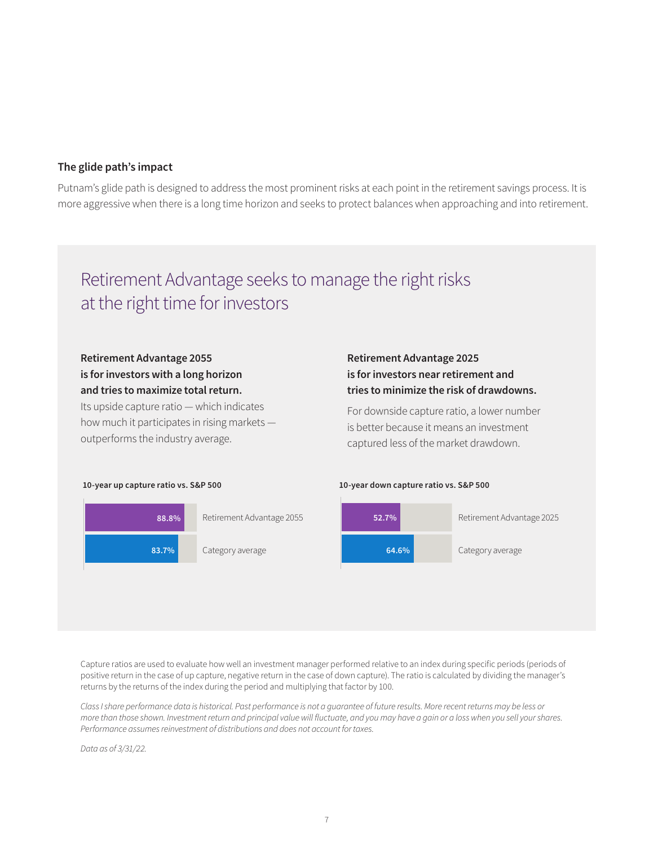#### **The glide path's impact**

Putnam's glide path is designed to address the most prominent risks at each point in the retirement savings process. It is more aggressive when there is a long time horizon and seeks to protect balances when approaching and into retirement.

### Retirement Advantage seeks to manage the right risks at the right time for investors

#### **Retirement Advantage 2055 is for investors with a long horizon and tries to maximize total return.**

Its upside capture ratio — which indicates how much it participates in rising markets outperforms the industry average.

#### **Retirement Advantage 2025 is for investors near retirement and tries to minimize the risk of drawdowns.**

For downside capture ratio, a lower number is better because it means an investment captured less of the market drawdown.





Capture ratios are used to evaluate how well an investment manager performed relative to an index during specific periods (periods of positive return in the case of up capture, negative return in the case of down capture). The ratio is calculated by dividing the manager's returns by the returns of the index during the period and multiplying that factor by 100.

*Class I share performance data is historical. Past performance is not a guarantee of future results. More recent returns may be less or*  more than those shown. Investment return and principal value will fluctuate, and you may have a gain or a loss when you sell your shares. *Performance assumes reinvestment of distributions and does not account for taxes.*

*Data as of 3/31/22.*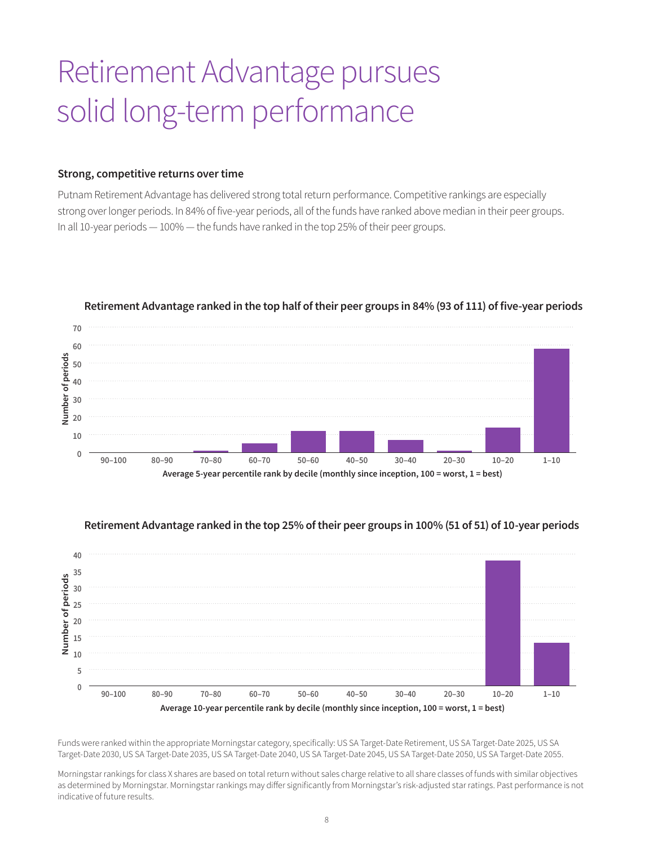### Retirement Advantage pursues solid long-term performance

#### **Strong, competitive returns over time**

Putnam Retirement Advantage has delivered strong total return performance. Competitive rankings are especially strong over longer periods. In 84% of five-year periods, all of the funds have ranked above median in their peer groups. In all 10-year periods — 100% — the funds have ranked in the top 25% of their peer groups.



#### **Retirement Advantage ranked in the top half of their peer groups in 84% (93 of 111) of five-year periods**



#### **Retirement Advantage ranked in the top 25% of their peer groups in 100% (51 of 51) of 10-year periods**

Funds were ranked within the appropriate Morningstar category, specifically: US SA Target-Date Retirement, US SA Target-Date 2025, US SA Target-Date 2030, US SA Target-Date 2035, US SA Target-Date 2040, US SA Target-Date 2045, US SA Target-Date 2050, US SA Target-Date 2055.

Morningstar rankings for class X shares are based on total return without sales charge relative to all share classes of funds with similar objectives as determined by Morningstar. Morningstar rankings may differ significantly from Morningstar's risk-adjusted star ratings. Past performance is not indicative of future results.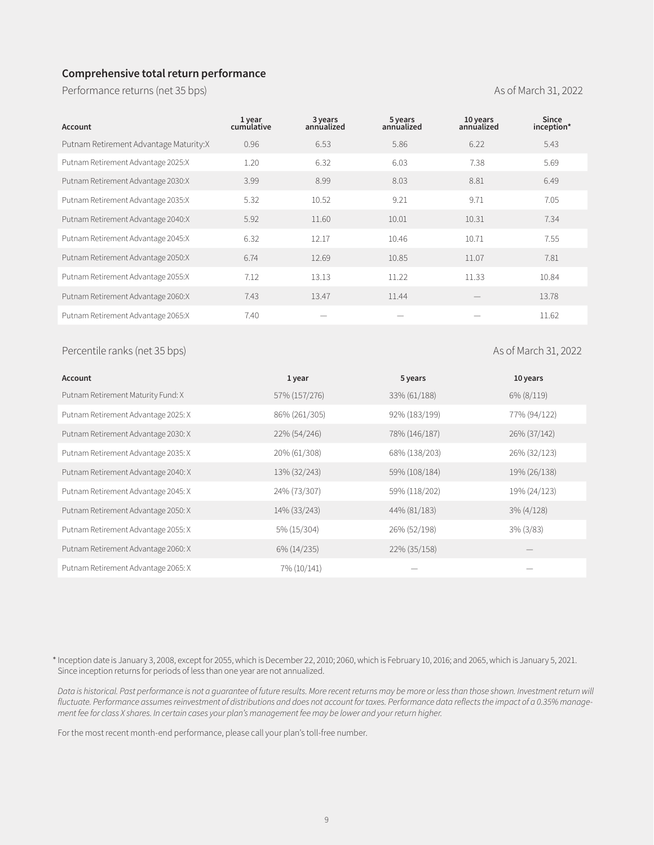#### **Comprehensive total return performance**

Performance returns (net 35 bps) and the contract of the contract of the As of March 31, 2022

| Account                                | 1 year<br>cumulative | 3 years<br>annualized | 5 years<br>annualized | 10 years<br>annualized | <b>Since</b><br>inception* |
|----------------------------------------|----------------------|-----------------------|-----------------------|------------------------|----------------------------|
| Putnam Retirement Advantage Maturity:X | 0.96                 | 6.53                  | 5.86                  | 6.22                   | 5.43                       |
| Putnam Retirement Advantage 2025:X     | 1.20                 | 6.32                  | 6.03                  | 7.38                   | 5.69                       |
| Putnam Retirement Advantage 2030:X     | 3.99                 | 8.99                  | 8.03                  | 8.81                   | 6.49                       |
| Putnam Retirement Advantage 2035:X     | 5.32                 | 10.52                 | 9.21                  | 9.71                   | 7.05                       |
| Putnam Retirement Advantage 2040:X     | 5.92                 | 11.60                 | 10.01                 | 10.31                  | 7.34                       |
| Putnam Retirement Advantage 2045:X     | 6.32                 | 12.17                 | 10.46                 | 10.71                  | 7.55                       |
| Putnam Retirement Advantage 2050:X     | 6.74                 | 12.69                 | 10.85                 | 11.07                  | 7.81                       |
| Putnam Retirement Advantage 2055:X     | 7.12                 | 13.13                 | 11.22                 | 11.33                  | 10.84                      |
| Putnam Retirement Advantage 2060:X     | 7.43                 | 13.47                 | 11.44                 |                        | 13.78                      |
| Putnam Retirement Advantage 2065:X     | 7.40                 |                       |                       |                        | 11.62                      |

#### Percentile ranks (net 35 bps) As of March 31, 2022

| Account                             | 1 year        | 5 years       | 10 years      |
|-------------------------------------|---------------|---------------|---------------|
| Putnam Retirement Maturity Fund: X  | 57% (157/276) | 33% (61/188)  | 6% (8/119)    |
| Putnam Retirement Advantage 2025: X | 86% (261/305) | 92% (183/199) | 77% (94/122)  |
| Putnam Retirement Advantage 2030: X | 22% (54/246)  | 78% (146/187) | 26% (37/142)  |
| Putnam Retirement Advantage 2035: X | 20% (61/308)  | 68% (138/203) | 26% (32/123)  |
| Putnam Retirement Advantage 2040: X | 13% (32/243)  | 59% (108/184) | 19% (26/138)  |
| Putnam Retirement Advantage 2045: X | 24% (73/307)  | 59% (118/202) | 19% (24/123)  |
| Putnam Retirement Advantage 2050: X | 14% (33/243)  | 44% (81/183)  | $3\% (4/128)$ |
| Putnam Retirement Advantage 2055: X | 5% (15/304)   | 26% (52/198)  | $3\%$ (3/83)  |
| Putnam Retirement Advantage 2060: X | 6% (14/235)   | 22% (35/158)  |               |
| Putnam Retirement Advantage 2065: X | 7% (10/141)   |               |               |

\* Inception date is January 3, 2008, except for 2055, which is December 22, 2010; 2060, which is February 10, 2016; and 2065, which is January 5, 2021. Since inception returns for periods of less than one year are not annualized.

*Data is historical. Past performance is not a guarantee of future results. More recent returns may be more or less than those shown. Investment return will*  fluctuate. Performance assumes reinvestment of distributions and does not account for taxes. Performance data reflects the impact of a 0.35% manage*ment fee for class X shares. In certain cases your plan's management fee may be lower and your return higher.*

For the most recent month-end performance, please call your plan's toll-free number.